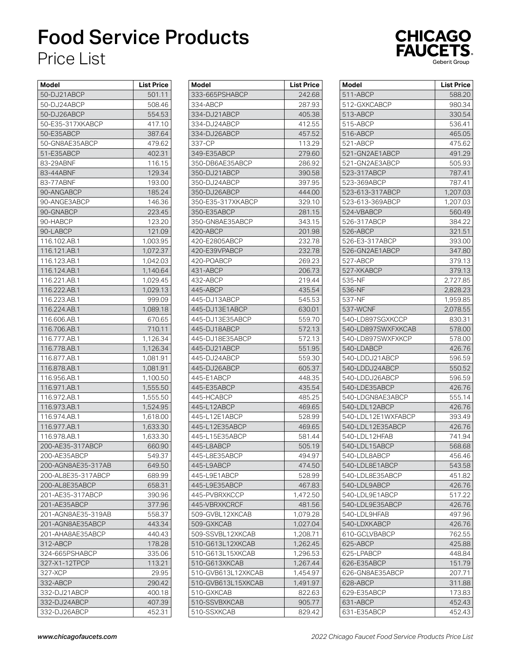## Food Service Products Price List



| Model              | List Price |
|--------------------|------------|
| 50-DJ21ABCP        | 501.11     |
| 50-DJ24ABCP        | 508.46     |
| 50-DJ26ABCP        | 554.53     |
| 50-E35-317XKABCP   | 417.10     |
| 50-E35ABCP         | 387.64     |
| 50-GN8AE35ABCP     | 479.62     |
| 51-E35ABCP         | 402.31     |
| 83-29ABNF          | 116.15     |
| 83-44ABNF          | 129.34     |
| 83-77ABNF          | 193.00     |
| 90-ANGABCP         | 185.24     |
| 90-ANGE3ABCP       | 146.36     |
| 90-GNABCP          | 223.45     |
| 90-HABCP           | 123.20     |
| 90-LABCP           | 121.09     |
| 116.102.AB.1       | 1,003.95   |
| 116.121.AB.1       | 1,072.37   |
| 116.123.AB.1       | 1,042.03   |
| 116.124.AB.1       | 1,140.64   |
| 116.221.AB.1       | 1,029.45   |
| 116.222.AB.1       | 1,029.13   |
| 116.223.AB.1       | 999.09     |
| 116.224.AB.1       | 1,089.18   |
| 116.606.AB.1       | 670.65     |
| 116.706.AB.1       | 710.11     |
| 116.777.AB.1       | 1,126.34   |
| 116.778.AB.1       | 1,126.34   |
| 116.877.AB.1       | 1,081.91   |
| 116.878.AB.1       | 1,081.91   |
| 116.956.AB.1       | 1,100.50   |
| 116.971.AB.1       | 1,555.50   |
| 116.972.AB.1       | 1,555.50   |
| 116.973.AB.1       | 1,524.95   |
| 116.974.AB.1       | 1,618.00   |
| 116.977.AB.1       | 1,633.30   |
| 116.978.AB.1       | 1,633.30   |
| 200-AE35-317ABCP   | 660.90     |
| 200-AE35ABCP       | 549.37     |
| 200-AGN8AE35-317AB | 649.50     |
| 200-AL8E35-317ABCP | 689.99     |
| 200-AL8E35ABCP     | 658.31     |
| 201-AE35-317ABCP   | 390.96     |
| 201-AE35ABCP       | 377.96     |
| 201-AGN8AE35-319AB | 558.37     |
| 201-AGN8AE35ABCP   | 443.34     |
| 201-AHA8AE35ABCP   | 440.43     |
| 312-ABCP           | 178.28     |
| 324-665PSHABCP     | 335.06     |
| 327-X1-12TPCP      | 113.21     |
| 327-XCP            | 29.95      |
| 332-ABCP           | 290.42     |
| 332-DJ21ABCP       | 400.18     |
| 332-DJ24ABCP       | 407.39     |
| 332-DJ26ABCP       | 452.31     |
|                    |            |

| Model                       | List Price       |
|-----------------------------|------------------|
| 333-665PSHABCP              | 242.68           |
| 334-ABCP                    | 287.93           |
| 334-DJ21ABCP                | 405.38           |
| 334-DJ24ABCP                | 412.55           |
| 334-DJ26ABCP                | 457.52           |
| 337-CP                      | 113.29           |
| 349-E35ABCP                 | 279.60           |
| 350-DB6AE35ABCP             | 286.92           |
| 350-DJ21ABCP                | 390.58           |
| 350-DJ24ABCP                | 397.95           |
| 350-DJ26ABCP                | 444.00           |
| 350-E35-317XKABCP           | 329.10           |
| 350-E35ABCP                 | 281.15           |
| 350-GN8AE35ABCP             | 343.15           |
| 420-ABCP                    | 201.98           |
| 420-E2805ABCP               | 232.78           |
| 420-E39VPABCP               | 232.78           |
| 420-POABCP                  | 269.23           |
| 431-ABCP                    | 206.73           |
| 432-ABCP                    | 219.44           |
| 445-ABCP                    | 435.54           |
| 445-DJ13ABCP                | 545.53           |
| 445-DJ13E1ABCP              | 630.01           |
| 445-DJ13E35ABCP             | 559.70           |
| 445-DJ18ABCP                | 572.13           |
| 445-DJ18E35ABCP             | 572.13           |
| 445-DJ21ABCP                | 551.95           |
| 445-DJ24ABCP                | 559.30           |
| 445-DJ26ABCP                | 605.37           |
| 445-E1ABCP                  | 448.35           |
| 445-E35ABCP                 |                  |
| 445-HCABCP                  | 435.54<br>485.25 |
| 445-L12ABCP                 | 469.65           |
| 445-L12E1ABCP               | 528.99           |
| 445-L12E35ABCP              |                  |
| 445-L15E35ABCP              | 469.65<br>581.44 |
| 445-L8ABCP                  | 505.19           |
|                             |                  |
| 445-L8E35ABCP<br>445-L9ABCP | 494.97<br>474.50 |
|                             |                  |
| 445-L9E1ABCP                | 528.99           |
| 445-L9E35ABCP               | 467.83           |
| 445-PVBRXKCCP               | 1,472.50         |
| 445-VBRXKCRCF               | 481.56           |
| 509-GVBL12XKCAB             | 1,079.28         |
| 509-GXKCAB                  | 1,027.04         |
| 509-SSVBL12XKCAB            | 1,208.71         |
| 510-G613L12XKCAB            | 1,262.45         |
| 510-G613L15XKCAB            | 1,296.53         |
| 510-G613XKCAB               | 1,267.44         |
| 510-GVB613L12XKCAB          | 1,454.97         |
| 510-GVB613L15XKCAB          | 1,491.97         |
| 510-GXKCAB                  | 822.63           |
| 510-SSVBXKCAB               | 905.77           |
| 510-SSXKCAB                 | 829.42           |

| Model<br>511-ABCP  | <b>List Price</b><br>588.20 |
|--------------------|-----------------------------|
| 512-GXKCABCP       | 980.34                      |
| 513-ABCP           | 330.54                      |
| 515-ABCP           | 536.41                      |
| 516-ABCP           | 465.05                      |
| 521-ABCP           | 475.62                      |
| 521-GN2AE1ABCP     | 491.29                      |
| 521-GN2AE3ABCP     | 505.93                      |
| 523-317ABCP        | 787.41                      |
| 523-369ABCP        | 787.41                      |
| 523-613-317ABCP    | 1,207.03                    |
| 523-613-369ABCP    | 1,207.03                    |
| 524-VBABCP         | 560.49                      |
| 526-317ABCP        | 384.22                      |
| 526-ABCP           | 321.51                      |
| 526-E3-317ABCP     | 393.00                      |
| 526-GN2AE1ABCP     | 347.80                      |
| 527-ABCP           | 379.13                      |
| 527-XKABCP         | 379.13                      |
| 535-NF             | 2,727.85                    |
| 536-NF             | 2,828.23                    |
| 537-NF             | 1,959.85                    |
| 537-WCNF           | 2,078.55                    |
| 540-LD897SGXKCCP   | 830.31                      |
| 540-LD897SWXFXKCAB | 578.00                      |
| 540-LD897SWXFXKCP  | 578.00                      |
| 540-LDABCP         | 426.76                      |
| 540-LDDJ21ABCP     | 596.59                      |
| 540-LDDJ24ABCP     | 550.52                      |
| 540-LDDJ26ABCP     | 596.59                      |
| 540-LDE35ABCP      | 426.76                      |
| 540-LDGN8AE3ABCP   | 555.14                      |
| 540-LDL12ABCP      | 426.76                      |
| 540-LDL12E1WXFABCP | 393.49                      |
| 540-LDL12E35ABCP   | 426.76                      |
| 540-LDL12HFAB      | 741.94                      |
| 540-LDL15ABCP      | 568.68                      |
| 540-LDL8ABCP       | 456.46                      |
| 540-LDL8E1ABCP     | 543.58                      |
| 540-LDL8E35ABCP    | 451.82                      |
| 540-LDL9ABCP       | 426.76                      |
| 540-LDL9E1ABCP     | 517.22                      |
| 540-LDL9E35ABCP    | 426.76                      |
| 540-LDL9HFAB       | 497.96                      |
| 540-LDXKABCP       | 426.76                      |
| 610-GCLVBABCP      | 762.55                      |
| 625-ABCP           | 425.88                      |
| 625-LPABCP         | 448.84                      |
| 626-E35ABCP        | 151.79                      |
| 626-GN8AE35ABCP    | 207.71                      |
| 628-ABCP           | 311.88                      |
| 629-E35ABCP        | 173.83                      |
| 631-ABCP           | 452.43                      |
| 631-E35ABCP        | 452.43                      |
|                    |                             |